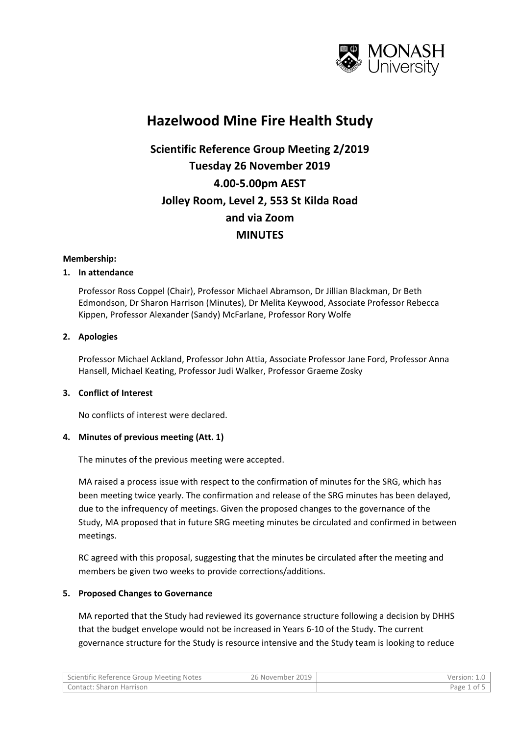

## **Hazelwood Mine Fire Health Study**

# **Scientific Reference Group Meeting 2/2019 Tuesday 26 November 2019 4.00-5.00pm AEST Jolley Room, Level 2, 553 St Kilda Road and via Zoom MINUTES**

#### **Membership:**

#### **1. In attendance**

Professor Ross Coppel (Chair), Professor Michael Abramson, Dr Jillian Blackman, Dr Beth Edmondson, Dr Sharon Harrison (Minutes), Dr Melita Keywood, Associate Professor Rebecca Kippen, Professor Alexander (Sandy) McFarlane, Professor Rory Wolfe

#### **2. Apologies**

Professor Michael Ackland, Professor John Attia, Associate Professor Jane Ford, Professor Anna Hansell, Michael Keating, Professor Judi Walker, Professor Graeme Zosky

#### **3. Conflict of Interest**

No conflicts of interest were declared.

### **4. Minutes of previous meeting (Att. 1)**

The minutes of the previous meeting were accepted.

MA raised a process issue with respect to the confirmation of minutes for the SRG, which has been meeting twice yearly. The confirmation and release of the SRG minutes has been delayed, due to the infrequency of meetings. Given the proposed changes to the governance of the Study, MA proposed that in future SRG meeting minutes be circulated and confirmed in between meetings.

RC agreed with this proposal, suggesting that the minutes be circulated after the meeting and members be given two weeks to provide corrections/additions.

### **5. Proposed Changes to Governance**

MA reported that the Study had reviewed its governance structure following a decision by DHHS that the budget envelope would not be increased in Years 6-10 of the Study. The current governance structure for the Study is resource intensive and the Study team is looking to reduce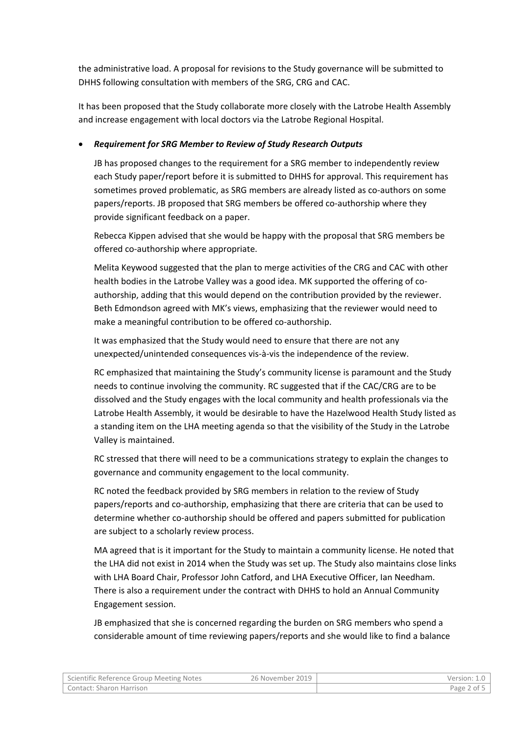the administrative load. A proposal for revisions to the Study governance will be submitted to DHHS following consultation with members of the SRG, CRG and CAC.

It has been proposed that the Study collaborate more closely with the Latrobe Health Assembly and increase engagement with local doctors via the Latrobe Regional Hospital.

## • *Requirement for SRG Member to Review of Study Research Outputs*

JB has proposed changes to the requirement for a SRG member to independently review each Study paper/report before it is submitted to DHHS for approval. This requirement has sometimes proved problematic, as SRG members are already listed as co-authors on some papers/reports. JB proposed that SRG members be offered co-authorship where they provide significant feedback on a paper.

Rebecca Kippen advised that she would be happy with the proposal that SRG members be offered co-authorship where appropriate.

Melita Keywood suggested that the plan to merge activities of the CRG and CAC with other health bodies in the Latrobe Valley was a good idea. MK supported the offering of coauthorship, adding that this would depend on the contribution provided by the reviewer. Beth Edmondson agreed with MK's views, emphasizing that the reviewer would need to make a meaningful contribution to be offered co-authorship.

It was emphasized that the Study would need to ensure that there are not any unexpected/unintended consequences vis-à-vis the independence of the review.

RC emphasized that maintaining the Study's community license is paramount and the Study needs to continue involving the community. RC suggested that if the CAC/CRG are to be dissolved and the Study engages with the local community and health professionals via the Latrobe Health Assembly, it would be desirable to have the Hazelwood Health Study listed as a standing item on the LHA meeting agenda so that the visibility of the Study in the Latrobe Valley is maintained.

RC stressed that there will need to be a communications strategy to explain the changes to governance and community engagement to the local community.

RC noted the feedback provided by SRG members in relation to the review of Study papers/reports and co-authorship, emphasizing that there are criteria that can be used to determine whether co-authorship should be offered and papers submitted for publication are subject to a scholarly review process.

MA agreed that is it important for the Study to maintain a community license. He noted that the LHA did not exist in 2014 when the Study was set up. The Study also maintains close links with LHA Board Chair, Professor John Catford, and LHA Executive Officer, Ian Needham. There is also a requirement under the contract with DHHS to hold an Annual Community Engagement session.

JB emphasized that she is concerned regarding the burden on SRG members who spend a considerable amount of time reviewing papers/reports and she would like to find a balance

| Scientific Reference Group Meeting Notes | 26 November 2019 | Version: 1.0 |
|------------------------------------------|------------------|--------------|
| Contact: Sharon Harrison                 |                  | Page 2 of 5  |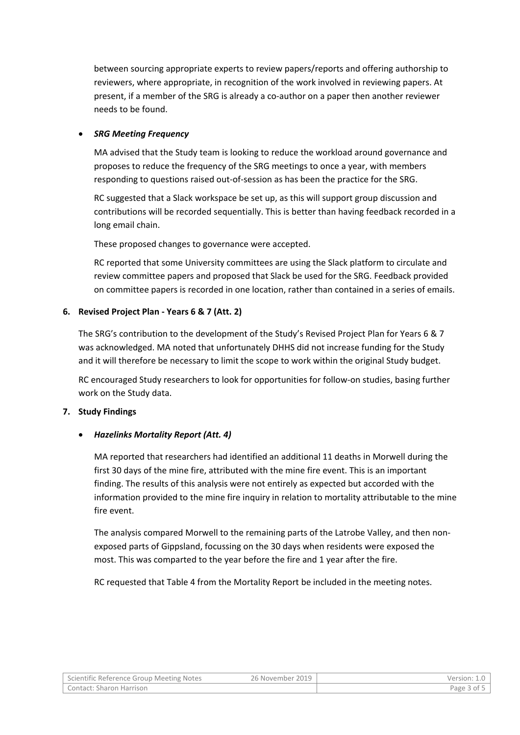between sourcing appropriate experts to review papers/reports and offering authorship to reviewers, where appropriate, in recognition of the work involved in reviewing papers. At present, if a member of the SRG is already a co-author on a paper then another reviewer needs to be found.

## • *SRG Meeting Frequency*

MA advised that the Study team is looking to reduce the workload around governance and proposes to reduce the frequency of the SRG meetings to once a year, with members responding to questions raised out-of-session as has been the practice for the SRG.

RC suggested that a Slack workspace be set up, as this will support group discussion and contributions will be recorded sequentially. This is better than having feedback recorded in a long email chain.

These proposed changes to governance were accepted.

RC reported that some University committees are using the Slack platform to circulate and review committee papers and proposed that Slack be used for the SRG. Feedback provided on committee papers is recorded in one location, rather than contained in a series of emails.

## **6. Revised Project Plan - Years 6 & 7 (Att. 2)**

The SRG's contribution to the development of the Study's Revised Project Plan for Years 6 & 7 was acknowledged. MA noted that unfortunately DHHS did not increase funding for the Study and it will therefore be necessary to limit the scope to work within the original Study budget.

RC encouraged Study researchers to look for opportunities for follow-on studies, basing further work on the Study data.

### **7. Study Findings**

## • *Hazelinks Mortality Report (Att. 4)*

MA reported that researchers had identified an additional 11 deaths in Morwell during the first 30 days of the mine fire, attributed with the mine fire event. This is an important finding. The results of this analysis were not entirely as expected but accorded with the information provided to the mine fire inquiry in relation to mortality attributable to the mine fire event.

The analysis compared Morwell to the remaining parts of the Latrobe Valley, and then nonexposed parts of Gippsland, focussing on the 30 days when residents were exposed the most. This was comparted to the year before the fire and 1 year after the fire.

RC requested that Table 4 from the Mortality Report be included in the meeting notes.

| Scientific Reference Group Meeting Notes | 26 November 2019 | Version: 1.0 |
|------------------------------------------|------------------|--------------|
| Contact: Sharon Harrison                 |                  | Page 3 of 5  |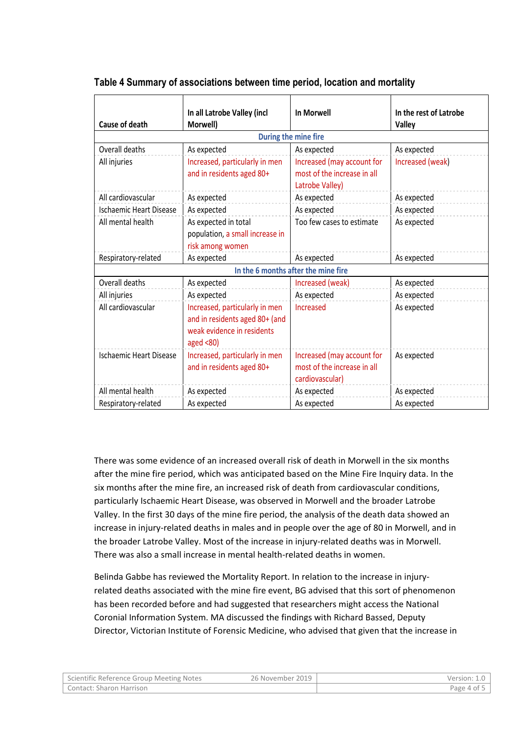| Cause of death                 | In all Latrobe Valley (incl<br>Morwell)                                                                         | In Morwell                                                                   | In the rest of Latrobe<br>Valley |
|--------------------------------|-----------------------------------------------------------------------------------------------------------------|------------------------------------------------------------------------------|----------------------------------|
|                                |                                                                                                                 | During the mine fire                                                         |                                  |
| Overall deaths                 | As expected                                                                                                     | As expected                                                                  | As expected                      |
| All injuries                   | Increased, particularly in men<br>and in residents aged 80+                                                     | Increased (may account for<br>most of the increase in all<br>Latrobe Valley) | Increased (weak)                 |
| All cardiovascular             | As expected                                                                                                     | As expected                                                                  | As expected                      |
| <b>Ischaemic Heart Disease</b> | As expected                                                                                                     | As expected                                                                  | As expected                      |
| All mental health              | As expected in total<br>population, a small increase in<br>risk among women                                     | Too few cases to estimate                                                    | As expected                      |
| Respiratory-related            | As expected                                                                                                     | As expected                                                                  | As expected                      |
|                                |                                                                                                                 | In the 6 months after the mine fire                                          |                                  |
| Overall deaths                 | As expected                                                                                                     | Increased (weak)                                                             | As expected                      |
| All injuries                   | As expected                                                                                                     | As expected                                                                  | As expected                      |
| All cardiovascular             | Increased, particularly in men<br>and in residents aged 80+ (and<br>weak evidence in residents<br>aged $< 80$ ) | Increased                                                                    | As expected                      |
| <b>Ischaemic Heart Disease</b> | Increased, particularly in men<br>and in residents aged 80+                                                     | Increased (may account for<br>most of the increase in all<br>cardiovascular) | As expected                      |
| All mental health              | As expected                                                                                                     | As expected                                                                  | As expected                      |
| Respiratory-related            | As expected                                                                                                     | As expected                                                                  | As expected                      |

## **Table 4 Summary of associations between time period, location and mortality**

There was some evidence of an increased overall risk of death in Morwell in the six months after the mine fire period, which was anticipated based on the Mine Fire Inquiry data. In the six months after the mine fire, an increased risk of death from cardiovascular conditions, particularly Ischaemic Heart Disease, was observed in Morwell and the broader Latrobe Valley. In the first 30 days of the mine fire period, the analysis of the death data showed an increase in injury-related deaths in males and in people over the age of 80 in Morwell, and in the broader Latrobe Valley. Most of the increase in injury-related deaths was in Morwell. There was also a small increase in mental health-related deaths in women.

Belinda Gabbe has reviewed the Mortality Report. In relation to the increase in injuryrelated deaths associated with the mine fire event, BG advised that this sort of phenomenon has been recorded before and had suggested that researchers might access the National Coronial Information System. MA discussed the findings with Richard Bassed, Deputy Director, Victorian Institute of Forensic Medicine, who advised that given that the increase in

| Scientific Reference Group Meeting Notes | 26 November 2019 | Version: 1.0 |
|------------------------------------------|------------------|--------------|
| Contact: Sharon Harrison                 |                  | Page 4 of 5  |